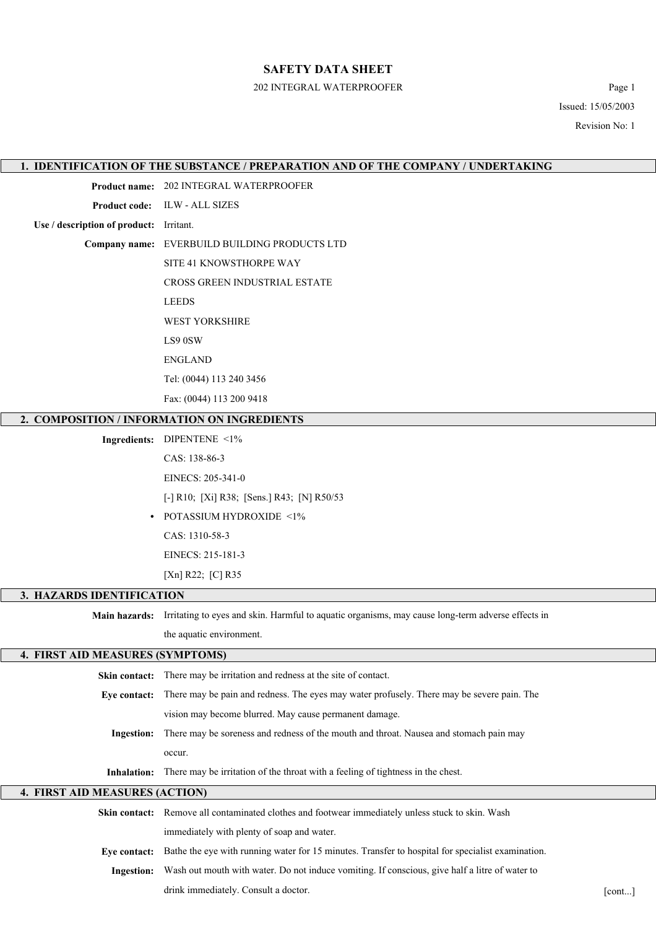#### 202 INTEGRAL WATERPROOFER Page 1

Issued: 15/05/2003 Revision No: 1

#### **1. IDENTIFICATION OF THE SUBSTANCE / PREPARATION AND OF THE COMPANY / UNDERTAKING**

**Product name:** 202 INTEGRAL WATERPROOFER

**Product code:** ILW - ALL SIZES

**Use / description of product:** Irritant.

**Company name:** EVERBUILD BUILDING PRODUCTS LTD

SITE 41 KNOWSTHORPE WAY

CROSS GREEN INDUSTRIAL ESTATE

LEEDS

WEST YORKSHIRE

LS9 0SW

ENGLAND

Tel: (0044) 113 240 3456

Fax: (0044) 113 200 9418

#### **2. COMPOSITION / INFORMATION ON INGREDIENTS**

**Ingredients:** DIPENTENE <1% CAS: 138-86-3

EINECS: 205-341-0

[-] R10; [Xi] R38; [Sens.] R43; [N] R50/53

**•** POTASSIUM HYDROXIDE <1% CAS: 1310-58-3

EINECS: 215-181-3

[Xn] R22; [C] R35

#### **3. HAZARDS IDENTIFICATION**

**Main hazards:** Irritating to eyes and skin. Harmful to aquatic organisms, may cause long-term adverse effects in

the aquatic environment.

# **4. FIRST AID MEASURES (SYMPTOMS) Skin contact:** There may be irritation and redness at the site of contact. **Eye contact:** There may be pain and redness. The eyes may water profusely. There may be severe pain. The vision may become blurred. May cause permanent damage. **Ingestion:** There may be soreness and redness of the mouth and throat. Nausea and stomach pain may occur. **Inhalation:** There may be irritation of the throat with a feeling of tightness in the chest. **4. FIRST AID MEASURES (ACTION)**

|            | <b>Skin contact:</b> Remove all contaminated clothes and footwear immediately unless stuck to skin. Wash       |        |
|------------|----------------------------------------------------------------------------------------------------------------|--------|
|            | immediately with plenty of soap and water.                                                                     |        |
|            | Eve contact: Bathe the eye with running water for 15 minutes. Transfer to hospital for specialist examination. |        |
| Ingestion: | Wash out mouth with water. Do not induce vomiting. If conscious, give half a litre of water to                 |        |
|            | drink immediately. Consult a doctor.                                                                           | [cont] |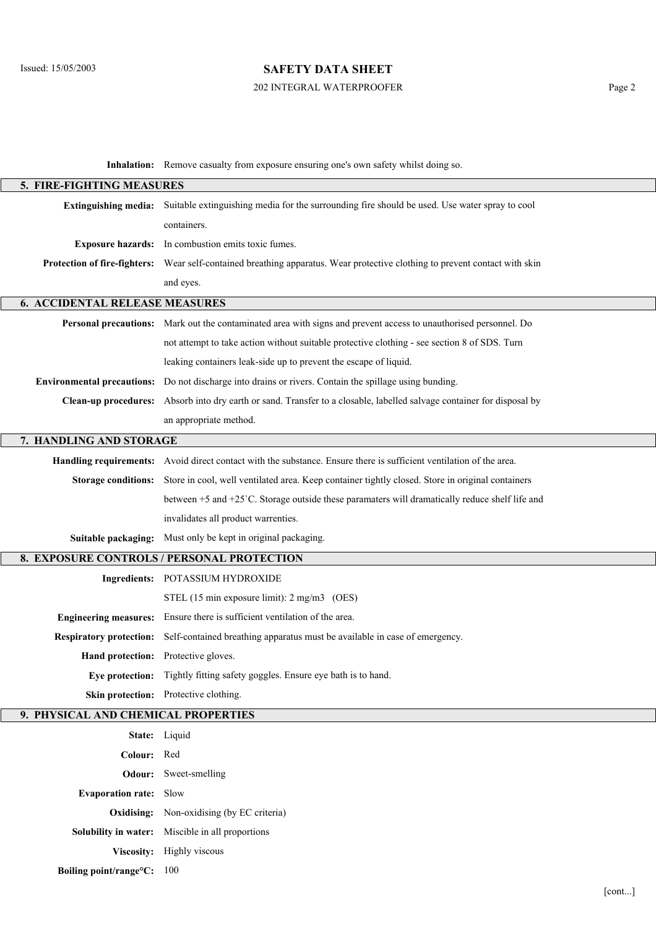## 202 INTEGRAL WATERPROOFER Page 2

**Inhalation:** Remove casualty from exposure ensuring one's own safety whilst doing so.

| 5. FIRE-FIGHTING MEASURES             |                                                                                                                             |        |  |  |  |  |
|---------------------------------------|-----------------------------------------------------------------------------------------------------------------------------|--------|--|--|--|--|
| <b>Extinguishing media:</b>           | Suitable extinguishing media for the surrounding fire should be used. Use water spray to cool                               |        |  |  |  |  |
|                                       | containers.                                                                                                                 |        |  |  |  |  |
|                                       | Exposure hazards: In combustion emits toxic fumes.                                                                          |        |  |  |  |  |
|                                       | Protection of fire-fighters: Wear self-contained breathing apparatus. Wear protective clothing to prevent contact with skin |        |  |  |  |  |
|                                       | and eyes.                                                                                                                   |        |  |  |  |  |
| <b>6. ACCIDENTAL RELEASE MEASURES</b> |                                                                                                                             |        |  |  |  |  |
|                                       | Personal precautions: Mark out the contaminated area with signs and prevent access to unauthorised personnel. Do            |        |  |  |  |  |
|                                       | not attempt to take action without suitable protective clothing - see section 8 of SDS. Turn                                |        |  |  |  |  |
|                                       | leaking containers leak-side up to prevent the escape of liquid.                                                            |        |  |  |  |  |
| <b>Environmental precautions:</b>     | Do not discharge into drains or rivers. Contain the spillage using bunding.                                                 |        |  |  |  |  |
|                                       | Clean-up procedures: Absorb into dry earth or sand. Transfer to a closable, labelled salvage container for disposal by      |        |  |  |  |  |
|                                       | an appropriate method.                                                                                                      |        |  |  |  |  |
| 7. HANDLING AND STORAGE               |                                                                                                                             |        |  |  |  |  |
|                                       | Handling requirements: Avoid direct contact with the substance. Ensure there is sufficient ventilation of the area.         |        |  |  |  |  |
| <b>Storage conditions:</b>            | Store in cool, well ventilated area. Keep container tightly closed. Store in original containers                            |        |  |  |  |  |
|                                       | between +5 and +25 °C. Storage outside these paramaters will dramatically reduce shelf life and                             |        |  |  |  |  |
|                                       | invalidates all product warrenties.                                                                                         |        |  |  |  |  |
| Suitable packaging:                   | Must only be kept in original packaging.                                                                                    |        |  |  |  |  |
|                                       | 8. EXPOSURE CONTROLS / PERSONAL PROTECTION                                                                                  |        |  |  |  |  |
|                                       | Ingredients: POTASSIUM HYDROXIDE                                                                                            |        |  |  |  |  |
|                                       | STEL (15 min exposure limit): 2 mg/m3 (OES)                                                                                 |        |  |  |  |  |
| <b>Engineering measures:</b>          | Ensure there is sufficient ventilation of the area.                                                                         |        |  |  |  |  |
| <b>Respiratory protection:</b>        | Self-contained breathing apparatus must be available in case of emergency.                                                  |        |  |  |  |  |
|                                       | Hand protection: Protective gloves.                                                                                         |        |  |  |  |  |
|                                       | Eye protection: Tightly fitting safety goggles. Ensure eye bath is to hand.                                                 |        |  |  |  |  |
|                                       | Skin protection: Protective clothing.                                                                                       |        |  |  |  |  |
| 9. PHYSICAL AND CHEMICAL PROPERTIES   |                                                                                                                             |        |  |  |  |  |
|                                       | State: Liquid                                                                                                               |        |  |  |  |  |
| Colour: Red                           |                                                                                                                             |        |  |  |  |  |
|                                       | <b>Odour:</b> Sweet-smelling                                                                                                |        |  |  |  |  |
| <b>Evaporation rate:</b> Slow         |                                                                                                                             |        |  |  |  |  |
|                                       | <b>Oxidising:</b> Non-oxidising (by EC criteria)                                                                            |        |  |  |  |  |
|                                       | Solubility in water: Miscible in all proportions                                                                            |        |  |  |  |  |
|                                       | Viscosity: Highly viscous                                                                                                   |        |  |  |  |  |
| Boiling point/range°C: 100            |                                                                                                                             |        |  |  |  |  |
|                                       |                                                                                                                             | [cont] |  |  |  |  |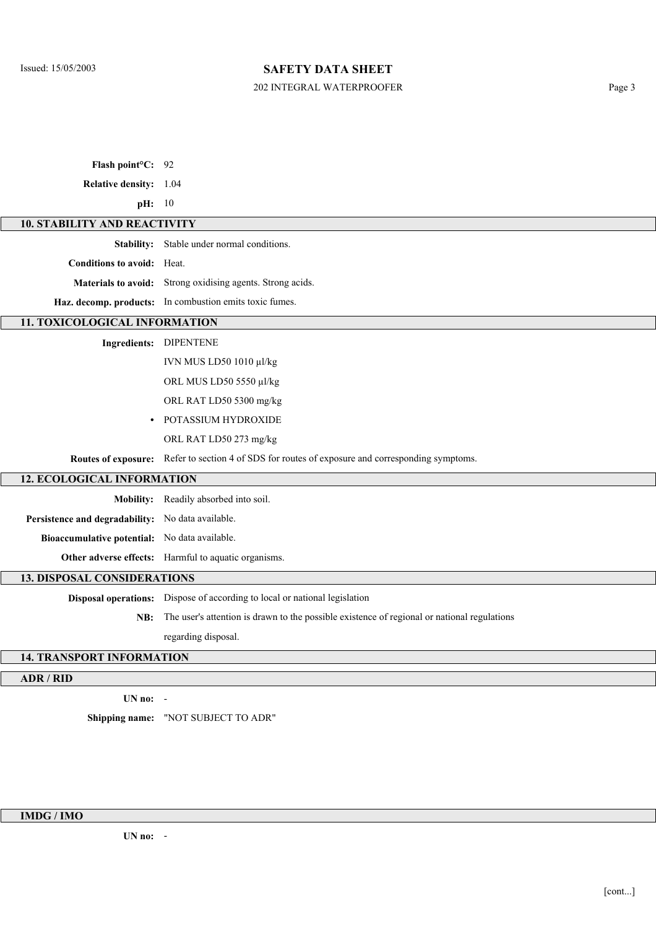## 202 INTEGRAL WATERPROOFER Page 3

| Flash point <sup>o</sup> C: 92                    |                                                                                                  |  |  |  |  |  |
|---------------------------------------------------|--------------------------------------------------------------------------------------------------|--|--|--|--|--|
| Relative density: 1.04                            |                                                                                                  |  |  |  |  |  |
| pH: 10                                            |                                                                                                  |  |  |  |  |  |
|                                                   | <b>10. STABILITY AND REACTIVITY</b>                                                              |  |  |  |  |  |
|                                                   | Stability: Stable under normal conditions.                                                       |  |  |  |  |  |
| <b>Conditions to avoid:</b> Heat.                 |                                                                                                  |  |  |  |  |  |
|                                                   | Materials to avoid: Strong oxidising agents. Strong acids.                                       |  |  |  |  |  |
|                                                   | Haz. decomp. products: In combustion emits toxic fumes.                                          |  |  |  |  |  |
| 11. TOXICOLOGICAL INFORMATION                     |                                                                                                  |  |  |  |  |  |
|                                                   | Ingredients: DIPENTENE                                                                           |  |  |  |  |  |
|                                                   | IVN MUS LD50 1010 µl/kg                                                                          |  |  |  |  |  |
|                                                   | ORL MUS LD50 5550 µl/kg                                                                          |  |  |  |  |  |
|                                                   | ORL RAT LD50 5300 mg/kg                                                                          |  |  |  |  |  |
|                                                   | POTASSIUM HYDROXIDE                                                                              |  |  |  |  |  |
|                                                   | ORL RAT LD50 273 mg/kg                                                                           |  |  |  |  |  |
|                                                   | Routes of exposure: Refer to section 4 of SDS for routes of exposure and corresponding symptoms. |  |  |  |  |  |
| <b>12. ECOLOGICAL INFORMATION</b>                 |                                                                                                  |  |  |  |  |  |
|                                                   | Mobility: Readily absorbed into soil.                                                            |  |  |  |  |  |
| Persistence and degradability: No data available. |                                                                                                  |  |  |  |  |  |
| Bioaccumulative potential: No data available.     |                                                                                                  |  |  |  |  |  |
|                                                   | Other adverse effects: Harmful to aquatic organisms.                                             |  |  |  |  |  |
| <b>13. DISPOSAL CONSIDERATIONS</b>                |                                                                                                  |  |  |  |  |  |
|                                                   | Disposal operations: Dispose of according to local or national legislation                       |  |  |  |  |  |
| NB:                                               | The user's attention is drawn to the possible existence of regional or national regulations      |  |  |  |  |  |
|                                                   | regarding disposal.                                                                              |  |  |  |  |  |
| <b>14. TRANSPORT INFORMATION</b>                  |                                                                                                  |  |  |  |  |  |
| ADR / RID                                         |                                                                                                  |  |  |  |  |  |
|                                                   |                                                                                                  |  |  |  |  |  |

**UN no:** -

**Shipping name:** "NOT SUBJECT TO ADR"

**IMDG / IMO**

**UN no:** -